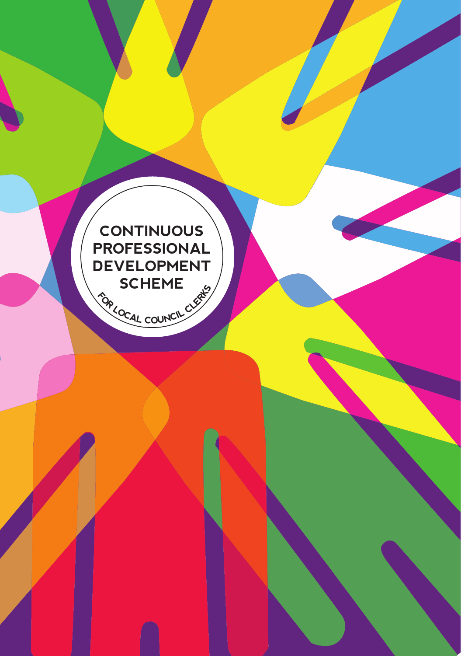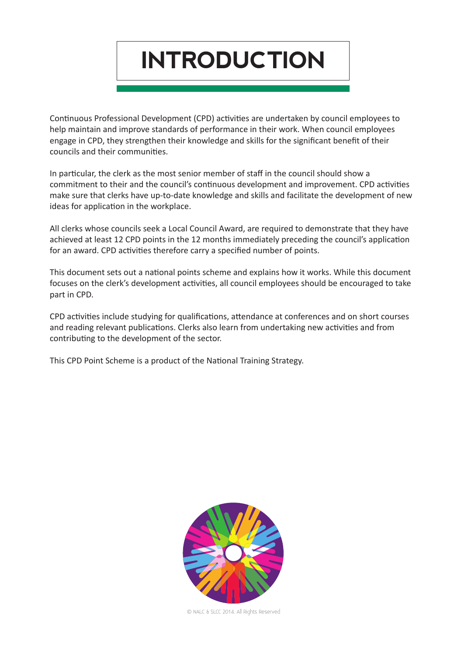**INTRODUCTION**

Continuous Professional Development (CPD) activities are undertaken by council employees to help maintain and improve standards of performance in their work. When council employees engage in CPD, they strengthen their knowledge and skills for the significant benefit of their councils and their communities.

In particular, the clerk as the most senior member of staff in the council should show a commitment to their and the council's continuous development and improvement. CPD activities make sure that clerks have up-to-date knowledge and skills and facilitate the development of new ideas for application in the workplace.

All clerks whose councils seek a Local Council Award, are required to demonstrate that they have achieved at least 12 CPD points in the 12 months immediately preceding the council's application for an award. CPD activities therefore carry a specified number of points.

This document sets out a national points scheme and explains how it works. While this document focuses on the clerk's development activities, all council employees should be encouraged to take part in CPD.

CPD activities include studying for qualifications, attendance at conferences and on short courses and reading relevant publications. Clerks also learn from undertaking new activities and from contributing to the development of the sector.

This CPD Point Scheme is a product of the National Training Strategy.



© NALC & SLCC 2014. All Rights Reserved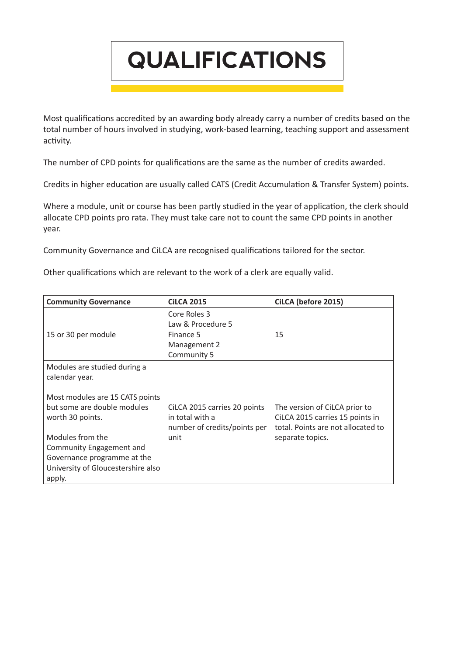**QUALIFICATIONS**

Most qualifications accredited by an awarding body already carry a number of credits based on the total number of hours involved in studying, work-based learning, teaching support and assessment activity.

The number of CPD points for qualifications are the same as the number of credits awarded.

Credits in higher education are usually called CATS (Credit Accumulation & Transfer System) points.

Where a module, unit or course has been partly studied in the year of application, the clerk should allocate CPD points pro rata. They must take care not to count the same CPD points in another year.

Community Governance and CiLCA are recognised qualifications tailored for the sector.

Other qualifications which are relevant to the work of a clerk are equally valid.

| <b>Community Governance</b>                                                                                                 | <b>CILCA 2015</b>                                                               | CiLCA (before 2015)                                                                                    |
|-----------------------------------------------------------------------------------------------------------------------------|---------------------------------------------------------------------------------|--------------------------------------------------------------------------------------------------------|
| 15 or 30 per module                                                                                                         | Core Roles 3<br>Law & Procedure 5<br>Finance 5<br>Management 2<br>Community 5   | 15                                                                                                     |
| Modules are studied during a<br>calendar year.                                                                              |                                                                                 |                                                                                                        |
| Most modules are 15 CATS points<br>but some are double modules<br>worth 30 points.                                          | CiLCA 2015 carries 20 points<br>in total with a<br>number of credits/points per | The version of CiLCA prior to<br>CiLCA 2015 carries 15 points in<br>total. Points are not allocated to |
| Modules from the<br>Community Engagement and<br>Governance programme at the<br>University of Gloucestershire also<br>apply. | unit                                                                            | separate topics.                                                                                       |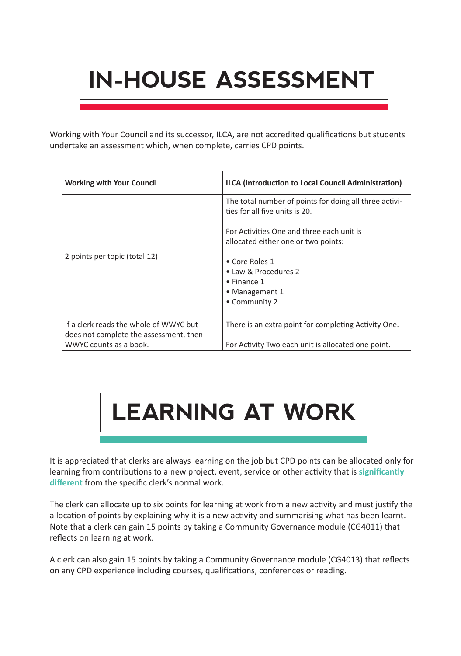## **IN-HOUSE ASSESSMENT**

Working with Your Council and its successor, ILCA, are not accredited qualifications but students undertake an assessment which, when complete, carries CPD points.

| <b>Working with Your Council</b>                                                                           | ILCA (Introduction to Local Council Administration)                                                        |
|------------------------------------------------------------------------------------------------------------|------------------------------------------------------------------------------------------------------------|
|                                                                                                            | The total number of points for doing all three activi-<br>ties for all five units is 20.                   |
|                                                                                                            | For Activities One and three each unit is<br>allocated either one or two points:                           |
| 2 points per topic (total 12)                                                                              | • Core Roles 1<br>• Law & Procedures 2<br>$\bullet$ Finance 1<br>• Management 1<br>• Community 2           |
| If a clerk reads the whole of WWYC but<br>does not complete the assessment, then<br>WWYC counts as a book. | There is an extra point for completing Activity One.<br>For Activity Two each unit is allocated one point. |



It is appreciated that clerks are always learning on the job but CPD points can be allocated only for learning from contributions to a new project, event, service or other activity that is **significantly different** from the specific clerk's normal work.

The clerk can allocate up to six points for learning at work from a new activity and must justify the allocation of points by explaining why it is a new activity and summarising what has been learnt. Note that a clerk can gain 15 points by taking a Community Governance module (CG4011) that reflects on learning at work.

A clerk can also gain 15 points by taking a Community Governance module (CG4013) that reflects on any CPD experience including courses, qualifications, conferences or reading.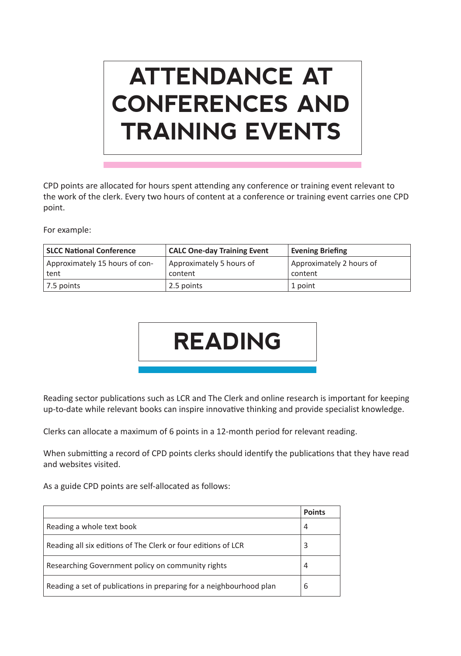## **ATTENDANCE AT CONFERENCES AND TRAINING EVENTS**

CPD points are allocated for hours spent attending any conference or training event relevant to the work of the clerk. Every two hours of content at a conference or training event carries one CPD point.

For example:

| <b>SLCC National Conference</b> | <b>CALC One-day Training Event</b> | <b>Evening Briefing</b>  |
|---------------------------------|------------------------------------|--------------------------|
| Approximately 15 hours of con-  | Approximately 5 hours of           | Approximately 2 hours of |
| tent                            | content                            | content                  |
| $\vert$ 7.5 points              | 2.5 points                         | 1 point                  |



Reading sector publications such as LCR and The Clerk and online research is important for keeping up-to-date while relevant books can inspire innovative thinking and provide specialist knowledge.

Clerks can allocate a maximum of 6 points in a 12-month period for relevant reading.

When submitting a record of CPD points clerks should identify the publications that they have read and websites visited.

As a guide CPD points are self-allocated as follows:

|                                                                     | <b>Points</b> |  |
|---------------------------------------------------------------------|---------------|--|
| Reading a whole text book                                           | 4             |  |
| Reading all six editions of The Clerk or four editions of LCR       | 3             |  |
| Researching Government policy on community rights                   | 4             |  |
| Reading a set of publications in preparing for a neighbourhood plan | 6             |  |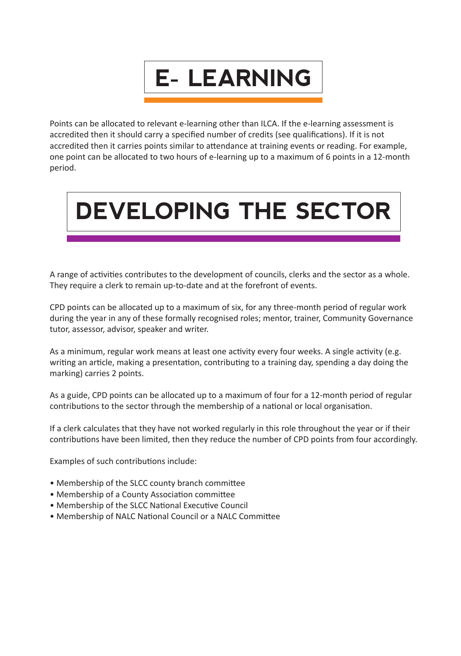

Points can be allocated to relevant e-learning other than ILCA. If the e-learning assessment is accredited then it should carry a specified number of credits (see qualifications). If it is not accredited then it carries points similar to attendance at training events or reading. For example, one point can be allocated to two hours of e-learning up to a maximum of 6 points in a 12-month period.



A range of activities contributes to the development of councils, clerks and the sector as a whole. They require a clerk to remain up-to-date and at the forefront of events.

CPD points can be allocated up to a maximum of six, for any three-month period of regular work during the year in any of these formally recognised roles; mentor, trainer, Community Governance tutor, assessor, advisor, speaker and writer.

As a minimum, regular work means at least one activity every four weeks. A single activity (e.g. writing an article, making a presentation, contributing to a training day, spending a day doing the marking) carries 2 points.

As a guide, CPD points can be allocated up to a maximum of four for a 12-month period of regular contributions to the sector through the membership of a national or local organisation.

If a clerk calculates that they have not worked regularly in this role throughout the year or if their contributions have been limited, then they reduce the number of CPD points from four accordingly.

Examples of such contributions include:

- Membership of the SLCC county branch committee
- Membership of a County Association committee
- Membership of the SLCC National Executive Council
- Membership of NALC National Council or a NALC Committee